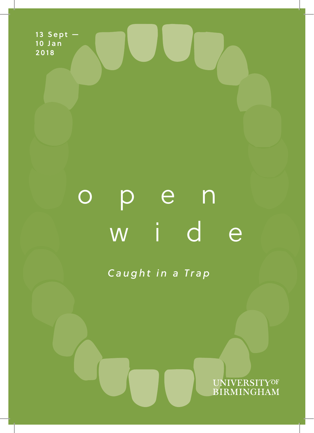**13 Sept — 10 Jan 2018**

# open wide

*Caught in a Trap*

UNIVERSITYOF<br>BIRMINGHAM